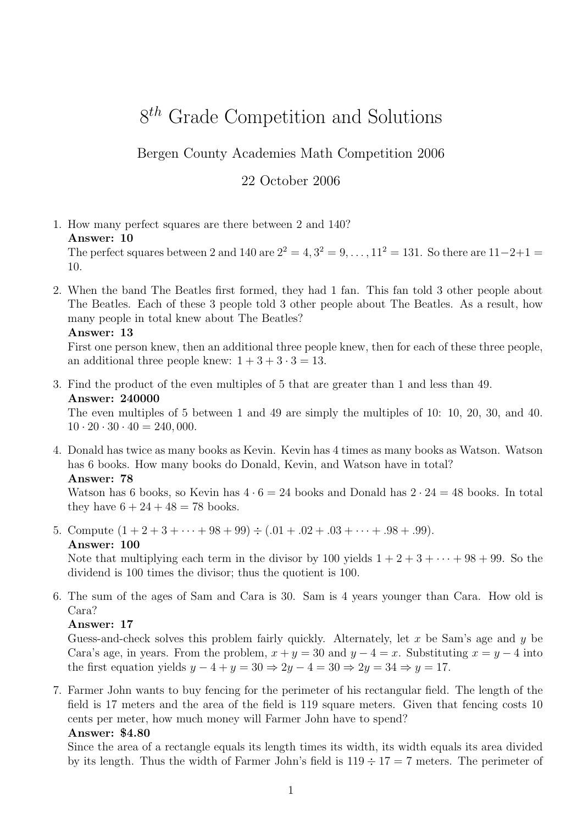# 8<sup>th</sup> Grade Competition and Solutions

Bergen County Academies Math Competition 2006

#### 22 October 2006

1. How many perfect squares are there between 2 and 140? Answer: 10

The perfect squares between 2 and 140 are  $2^2 = 4, 3^2 = 9, ..., 11^2 = 131$ . So there are  $11-2+1 =$ 10.

2. When the band The Beatles first formed, they had 1 fan. This fan told 3 other people about The Beatles. Each of these 3 people told 3 other people about The Beatles. As a result, how many people in total knew about The Beatles?

Answer: 13

First one person knew, then an additional three people knew, then for each of these three people, an additional three people knew:  $1 + 3 + 3 \cdot 3 = 13$ .

3. Find the product of the even multiples of 5 that are greater than 1 and less than 49. Answer: 240000

The even multiples of 5 between 1 and 49 are simply the multiples of 10: 10, 20, 30, and 40.  $10 \cdot 20 \cdot 30 \cdot 40 = 240,000.$ 

4. Donald has twice as many books as Kevin. Kevin has 4 times as many books as Watson. Watson has 6 books. How many books do Donald, Kevin, and Watson have in total? Answer: 78

Watson has 6 books, so Kevin has  $4 \cdot 6 = 24$  books and Donald has  $2 \cdot 24 = 48$  books. In total they have  $6 + 24 + 48 = 78$  books.

5. Compute  $(1 + 2 + 3 + \cdots + 98 + 99) \div (.01 + .02 + .03 + \cdots + .98 + .99)$ . Answer: 100

Note that multiplying each term in the divisor by 100 yields  $1 + 2 + 3 + \cdots + 98 + 99$ . So the dividend is 100 times the divisor; thus the quotient is 100.

6. The sum of the ages of Sam and Cara is 30. Sam is 4 years younger than Cara. How old is Cara?

#### Answer: 17

Guess-and-check solves this problem fairly quickly. Alternately, let x be Sam's age and  $\eta$  be Cara's age, in years. From the problem,  $x + y = 30$  and  $y - 4 = x$ . Substituting  $x = y - 4$  into the first equation yields  $y - 4 + y = 30 \Rightarrow 2y - 4 = 30 \Rightarrow 2y = 34 \Rightarrow y = 17$ .

7. Farmer John wants to buy fencing for the perimeter of his rectangular field. The length of the field is 17 meters and the area of the field is 119 square meters. Given that fencing costs 10 cents per meter, how much money will Farmer John have to spend?

#### Answer: \$4.80

Since the area of a rectangle equals its length times its width, its width equals its area divided by its length. Thus the width of Farmer John's field is  $119 \div 17 = 7$  meters. The perimeter of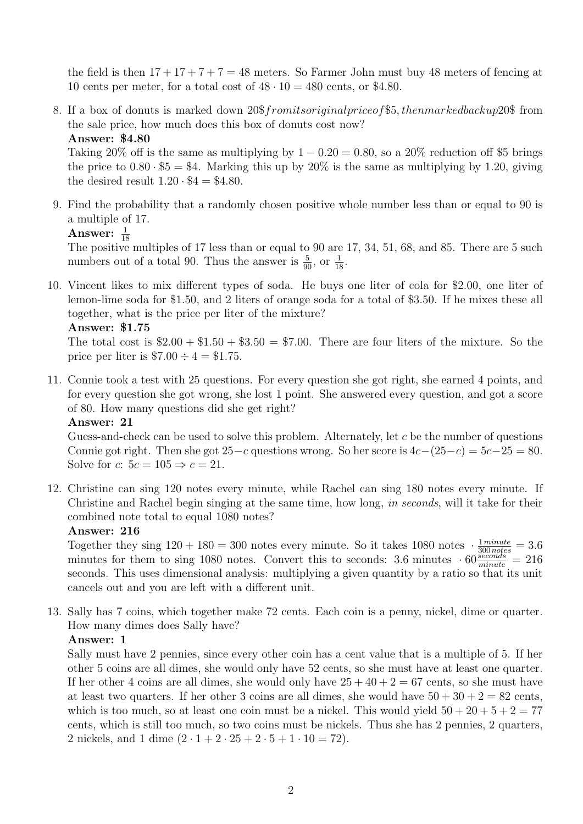the field is then  $17 + 17 + 7 + 7 = 48$  meters. So Farmer John must buy 48 meters of fencing at 10 cents per meter, for a total cost of  $48 \cdot 10 = 480$  cents, or \$4.80.

8. If a box of donuts is marked down 20\$fromitsoriginalpriceof\$5, thenmarkedbackup20\$ from the sale price, how much does this box of donuts cost now?

#### Answer: \$4.80

Taking 20% off is the same as multiplying by  $1 - 0.20 = 0.80$ , so a 20% reduction off \$5 brings the price to  $0.80 \cdot $5 = $4$ . Marking this up by  $20\%$  is the same as multiplying by 1.20, giving the desired result  $1.20 \cdot $4 = $4.80$ .

9. Find the probability that a randomly chosen positive whole number less than or equal to 90 is a multiple of 17.

### Answer:  $\frac{1}{18}$

The positive multiples of 17 less than or equal to 90 are 17, 34, 51, 68, and 85. There are 5 such numbers out of a total 90. Thus the answer is  $\frac{5}{90}$ , or  $\frac{1}{18}$ .

10. Vincent likes to mix different types of soda. He buys one liter of cola for \$2.00, one liter of lemon-lime soda for \$1.50, and 2 liters of orange soda for a total of \$3.50. If he mixes these all together, what is the price per liter of the mixture?

Answer: \$1.75

The total cost is  $$2.00 + $1.50 + $3.50 = $7.00$ . There are four liters of the mixture. So the price per liter is  $$7.00 \div 4 = $1.75$ .

11. Connie took a test with 25 questions. For every question she got right, she earned 4 points, and for every question she got wrong, she lost 1 point. She answered every question, and got a score of 80. How many questions did she get right?

#### Answer: 21

Guess-and-check can be used to solve this problem. Alternately, let  $c$  be the number of questions Connie got right. Then she got  $25-c$  questions wrong. So her score is  $4c-(25-c) = 5c-25 = 80$ . Solve for c:  $5c = 105 \Rightarrow c = 21$ .

12. Christine can sing 120 notes every minute, while Rachel can sing 180 notes every minute. If Christine and Rachel begin singing at the same time, how long, in seconds, will it take for their combined note total to equal 1080 notes?

#### Answer: 216

Together they sing  $120 + 180 = 300$  notes every minute. So it takes 1080 notes  $\cdot \frac{1 \text{ minute}}{300 \text{ notes}} = 3.6$ minutes for them to sing 1080 notes. Convert this to seconds: 3.6 minutes  $\cdot 60 \frac{seconds}{minute} = 216$ seconds. This uses dimensional analysis: multiplying a given quantity by a ratio so that its unit cancels out and you are left with a different unit.

13. Sally has 7 coins, which together make 72 cents. Each coin is a penny, nickel, dime or quarter. How many dimes does Sally have?

#### Answer: 1

Sally must have 2 pennies, since every other coin has a cent value that is a multiple of 5. If her other 5 coins are all dimes, she would only have 52 cents, so she must have at least one quarter. If her other 4 coins are all dimes, she would only have  $25 + 40 + 2 = 67$  cents, so she must have at least two quarters. If her other 3 coins are all dimes, she would have  $50 + 30 + 2 = 82$  cents, which is too much, so at least one coin must be a nickel. This would yield  $50 + 20 + 5 + 2 = 77$ cents, which is still too much, so two coins must be nickels. Thus she has 2 pennies, 2 quarters, 2 nickels, and 1 dime  $(2 \cdot 1 + 2 \cdot 25 + 2 \cdot 5 + 1 \cdot 10 = 72)$ .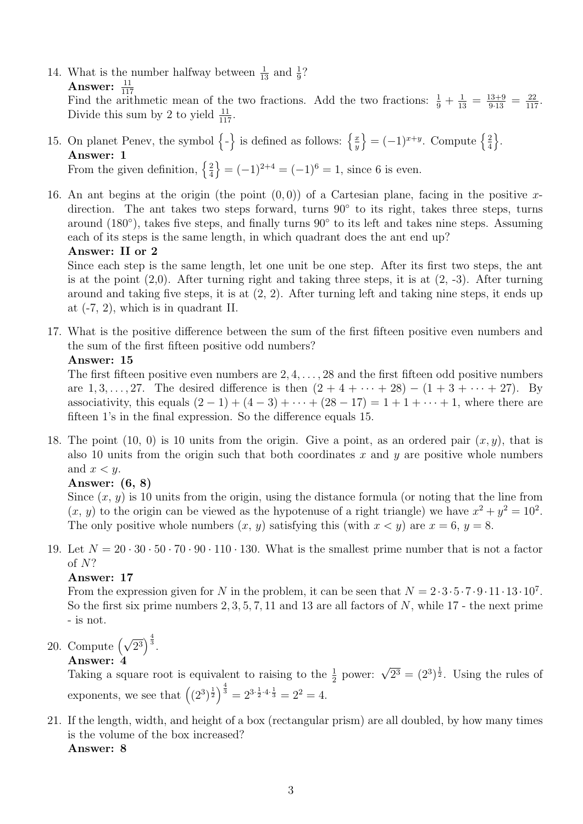14. What is the number halfway between  $\frac{1}{13}$  and  $\frac{1}{9}$ ? Answer:  $\frac{11}{117}$ Find the arithmetic mean of the two fractions. Add the two fractions:  $\frac{1}{9} + \frac{1}{13} = \frac{13+9}{9\cdot 13} = \frac{22}{117}$ . Divide this sum by 2 to yield  $\frac{11}{117}$ .

#### 15. On planet Penev, the symbol  $\{-\}$  is defined as follows:  $\{\frac{x}{y}\}$  $\overline{y}$  $\left\} = (-1)^{x+y}$ . Compute  $\left\{ \frac{2}{4} \right\}$ 4  $\big\}$ . Answer: 1 From the given definition,  $\left\{\frac{2}{4}\right\}$ 4  $\{ = (-1)^{2+4} = (-1)^6 = 1, \text{ since } 6 \text{ is even.} \}$

16. An ant begins at the origin (the point  $(0, 0)$ ) of a Cartesian plane, facing in the positive xdirection. The ant takes two steps forward, turns 90° to its right, takes three steps, turns around (180°), takes five steps, and finally turns 90° to its left and takes nine steps. Assuming each of its steps is the same length, in which quadrant does the ant end up?

```
Answer: II or 2
```
Since each step is the same length, let one unit be one step. After its first two steps, the ant is at the point  $(2,0)$ . After turning right and taking three steps, it is at  $(2, -3)$ . After turning around and taking five steps, it is at (2, 2). After turning left and taking nine steps, it ends up at (-7, 2), which is in quadrant II.

17. What is the positive difference between the sum of the first fifteen positive even numbers and the sum of the first fifteen positive odd numbers?

```
Answer: 15
```
The first fifteen positive even numbers are  $2, 4, \ldots, 28$  and the first fifteen odd positive numbers are  $1, 3, ..., 27$ . The desired difference is then  $(2 + 4 + ... + 28) - (1 + 3 + ... + 27)$ . By associativity, this equals  $(2 - 1) + (4 - 3) + \cdots + (28 - 17) = 1 + 1 + \cdots + 1$ , where there are fifteen 1's in the final expression. So the difference equals 15.

18. The point  $(10, 0)$  is 10 units from the origin. Give a point, as an ordered pair  $(x, y)$ , that is also 10 units from the origin such that both coordinates x and y are positive whole numbers and  $x < y$ .

### Answer: (6, 8)

Since  $(x, y)$  is 10 units from the origin, using the distance formula (or noting that the line from  $(x, y)$  to the origin can be viewed as the hypotenuse of a right triangle) we have  $x^2 + y^2 = 10^2$ . The only positive whole numbers  $(x, y)$  satisfying this (with  $x < y$ ) are  $x = 6$ ,  $y = 8$ .

19. Let  $N = 20 \cdot 30 \cdot 50 \cdot 70 \cdot 90 \cdot 110 \cdot 130$ . What is the smallest prime number that is not a factor of N?

#### Answer: 17

From the expression given for N in the problem, it can be seen that  $N = 2 \cdot 3 \cdot 5 \cdot 7 \cdot 9 \cdot 11 \cdot 13 \cdot 10^7$ . So the first six prime numbers  $2, 3, 5, 7, 11$  and 13 are all factors of N, while 17 - the next prime - is not.

20. Compute  $(\sqrt{2^3})^{\frac{4}{3}}$ .

### Answer: 4

**Answer: 4**<br>Taking a square root is equivalent to raising to the  $\frac{1}{2}$  power:  $\sqrt{2^3} = (2^3)^{\frac{1}{2}}$ . Using the rules of exponents, we see that  $((2^3)^{\frac{1}{2}})^{\frac{4}{3}} = 2^{3 \cdot \frac{1}{2} \cdot 4 \cdot \frac{1}{3}} = 2^2 = 4$ .

21. If the length, width, and height of a box (rectangular prism) are all doubled, by how many times is the volume of the box increased? Answer: 8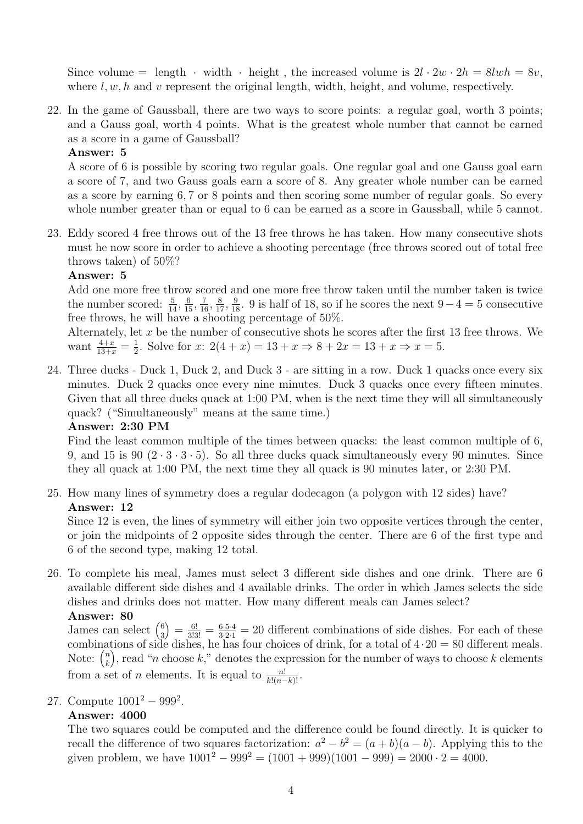Since volume = length · width · height, the increased volume is  $2l \cdot 2w \cdot 2h = 8lwh = 8v$ , where  $l, w, h$  and v represent the original length, width, height, and volume, respectively.

22. In the game of Gaussball, there are two ways to score points: a regular goal, worth 3 points; and a Gauss goal, worth 4 points. What is the greatest whole number that cannot be earned as a score in a game of Gaussball?

#### Answer: 5

A score of 6 is possible by scoring two regular goals. One regular goal and one Gauss goal earn a score of 7, and two Gauss goals earn a score of 8. Any greater whole number can be earned as a score by earning 6, 7 or 8 points and then scoring some number of regular goals. So every whole number greater than or equal to 6 can be earned as a score in Gaussball, while 5 cannot.

23. Eddy scored 4 free throws out of the 13 free throws he has taken. How many consecutive shots must he now score in order to achieve a shooting percentage (free throws scored out of total free throws taken) of 50%?

#### Answer: 5

Add one more free throw scored and one more free throw taken until the number taken is twice the number scored:  $\frac{5}{14}$ ,  $\frac{6}{15}$ ,  $\frac{7}{16}$ ,  $\frac{8}{17}$ ,  $\frac{9}{18}$ . 9 is half of 18, so if he scores the next 9 – 4 = 5 consecutive free throws, he will have a shooting percentage of 50%.

Alternately, let  $x$  be the number of consecutive shots he scores after the first 13 free throws. We want  $\frac{4+x}{13+x} = \frac{1}{2}$  $\frac{1}{2}$ . Solve for  $x: 2(4+x) = 13 + x \Rightarrow 8 + 2x = 13 + x \Rightarrow x = 5$ .

24. Three ducks - Duck 1, Duck 2, and Duck 3 - are sitting in a row. Duck 1 quacks once every six minutes. Duck 2 quacks once every nine minutes. Duck 3 quacks once every fifteen minutes. Given that all three ducks quack at 1:00 PM, when is the next time they will all simultaneously quack? ("Simultaneously" means at the same time.)

#### Answer: 2:30 PM

Find the least common multiple of the times between quacks: the least common multiple of 6, 9, and 15 is 90  $(2 \cdot 3 \cdot 3 \cdot 5)$ . So all three ducks quack simultaneously every 90 minutes. Since they all quack at 1:00 PM, the next time they all quack is 90 minutes later, or 2:30 PM.

25. How many lines of symmetry does a regular dodecagon (a polygon with 12 sides) have? Answer: 12

Since 12 is even, the lines of symmetry will either join two opposite vertices through the center, or join the midpoints of 2 opposite sides through the center. There are 6 of the first type and 6 of the second type, making 12 total.

26. To complete his meal, James must select 3 different side dishes and one drink. There are 6 available different side dishes and 4 available drinks. The order in which James selects the side dishes and drinks does not matter. How many different meals can James select?

#### Answer: 80

James can select  $\binom{6}{3}$ 3  $=\frac{6!}{3!3!}=\frac{6\cdot5\cdot4}{3\cdot2\cdot1}=20$  different combinations of side dishes. For each of these combinations of side dishes, he has four choices of drink, for a total of  $4 \cdot 20 = 80$  different meals. Note:  $\binom{n}{k}$ k ), read "n choose k," denotes the expression for the number of ways to choose k elements from a set of *n* elements. It is equal to  $\frac{n!}{k!(n-k)!}$ .

27. Compute  $1001^2 - 999^2$ .

#### Answer: 4000

The two squares could be computed and the difference could be found directly. It is quicker to recall the difference of two squares factorization:  $a^2 - b^2 = (a + b)(a - b)$ . Applying this to the given problem, we have  $1001^2 - 999^2 = (1001 + 999)(1001 - 999) = 2000 \cdot 2 = 4000$ .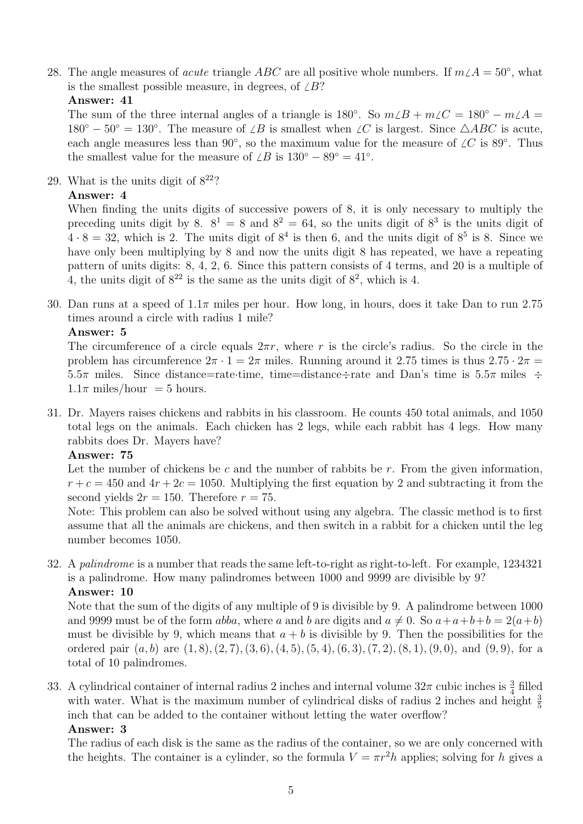28. The angle measures of *acute* triangle ABC are all positive whole numbers. If  $m\angle A = 50°$ , what is the smallest possible measure, in degrees, of  $\angle B$ ?

#### Answer: 41

The sum of the three internal angles of a triangle is  $180^\circ$ . So  $m\angle B + m\angle C = 180^\circ - m\angle A =$  $180^{\circ} - 50^{\circ} = 130^{\circ}$ . The measure of  $\angle B$  is smallest when  $\angle C$  is largest. Since  $\triangle ABC$  is acute, each angle measures less than 90°, so the maximum value for the measure of  $\angle C$  is 89°. Thus the smallest value for the measure of  $\angle B$  is  $130^{\circ} - 89^{\circ} = 41^{\circ}$ .

29. What is the units digit of  $8^{22}$ ?

#### Answer: 4

When finding the units digits of successive powers of 8, it is only necessary to multiply the preceding units digit by 8.  $8^1 = 8$  and  $8^2 = 64$ , so the units digit of  $8^3$  is the units digit of  $4 \cdot 8 = 32$ , which is 2. The units digit of  $8^4$  is then 6, and the units digit of  $8^5$  is 8. Since we have only been multiplying by 8 and now the units digit 8 has repeated, we have a repeating pattern of units digits: 8, 4, 2, 6. Since this pattern consists of 4 terms, and 20 is a multiple of 4, the units digit of  $8^{22}$  is the same as the units digit of  $8^{2}$ , which is 4.

30. Dan runs at a speed of  $1.1\pi$  miles per hour. How long, in hours, does it take Dan to run 2.75 times around a circle with radius 1 mile?

#### Answer: 5

The circumference of a circle equals  $2\pi r$ , where r is the circle's radius. So the circle in the problem has circumference  $2\pi \cdot 1 = 2\pi$  miles. Running around it 2.75 times is thus  $2.75 \cdot 2\pi$ 5.5π miles. Since distance=rate·time, time=distance÷rate and Dan's time is 5.5π miles ÷  $1.1\pi$  miles/hour = 5 hours.

31. Dr. Mayers raises chickens and rabbits in his classroom. He counts 450 total animals, and 1050 total legs on the animals. Each chicken has 2 legs, while each rabbit has 4 legs. How many rabbits does Dr. Mayers have?

#### Answer: 75

Let the number of chickens be c and the number of rabbits be  $r$ . From the given information,  $r + c = 450$  and  $4r + 2c = 1050$ . Multiplying the first equation by 2 and subtracting it from the second yields  $2r = 150$ . Therefore  $r = 75$ .

Note: This problem can also be solved without using any algebra. The classic method is to first assume that all the animals are chickens, and then switch in a rabbit for a chicken until the leg number becomes 1050.

32. A palindrome is a number that reads the same left-to-right as right-to-left. For example, 1234321 is a palindrome. How many palindromes between 1000 and 9999 are divisible by 9? Answer: 10

Note that the sum of the digits of any multiple of 9 is divisible by 9. A palindrome between 1000 and 9999 must be of the form abba, where a and b are digits and  $a \neq 0$ . So  $a+a+b+b = 2(a+b)$ must be divisible by 9, which means that  $a + b$  is divisible by 9. Then the possibilities for the ordered pair  $(a, b)$  are  $(1, 8), (2, 7), (3, 6), (4, 5), (5, 4), (6, 3), (7, 2), (8, 1), (9, 0),$  and  $(9, 9),$  for a total of 10 palindromes.

33. A cylindrical container of internal radius 2 inches and internal volume  $32\pi$  cubic inches is  $\frac{3}{4}$  filled with water. What is the maximum number of cylindrical disks of radius 2 inches and height  $\frac{3}{5}$ inch that can be added to the container without letting the water overflow?

#### Answer: 3

The radius of each disk is the same as the radius of the container, so we are only concerned with the heights. The container is a cylinder, so the formula  $V = \pi r^2 h$  applies; solving for h gives a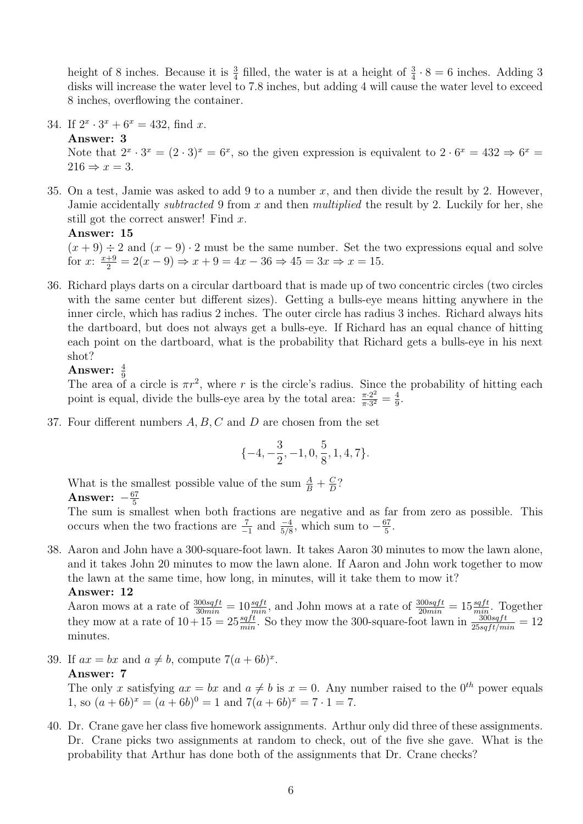height of 8 inches. Because it is  $\frac{3}{4}$  filled, the water is at a height of  $\frac{3}{4} \cdot 8 = 6$  inches. Adding 3 disks will increase the water level to 7.8 inches, but adding 4 will cause the water level to exceed 8 inches, overflowing the container.

34. If  $2^x \cdot 3^x + 6^x = 432$ , find x.

Answer: 3 Note that  $2^x \cdot 3^x = (2 \cdot 3)^x = 6^x$ , so the given expression is equivalent to  $2 \cdot 6^x = 432 \Rightarrow 6^x = 12$  $216 \Rightarrow x = 3.$ 

35. On a test, Jamie was asked to add 9 to a number  $x$ , and then divide the result by 2. However, Jamie accidentally *subtracted* 9 from  $x$  and then *multiplied* the result by 2. Luckily for her, she still got the correct answer! Find x.

Answer: 15

 $(x + 9) \div 2$  and  $(x - 9) \cdot 2$  must be the same number. Set the two expressions equal and solve for  $x: \frac{x+9}{2} = 2(x-9) \Rightarrow x+9 = 4x-36 \Rightarrow 45 = 3x \Rightarrow x = 15.$ 

36. Richard plays darts on a circular dartboard that is made up of two concentric circles (two circles with the same center but different sizes). Getting a bulls-eye means hitting anywhere in the inner circle, which has radius 2 inches. The outer circle has radius 3 inches. Richard always hits the dartboard, but does not always get a bulls-eye. If Richard has an equal chance of hitting each point on the dartboard, what is the probability that Richard gets a bulls-eye in his next shot?

#### Answer:  $\frac{4}{9}$

The area of a circle is  $\pi r^2$ , where r is the circle's radius. Since the probability of hitting each point is equal, divide the bulls-eye area by the total area:  $\frac{\pi \cdot 2^2}{\pi \cdot 3^2}$  $\frac{\pi \cdot 2^2}{\pi \cdot 3^2} = \frac{4}{9}$  $\frac{4}{9}$ .

37. Four different numbers A, B, C and D are chosen from the set

$$
\{-4, -\frac{3}{2}, -1, 0, \frac{5}{8}, 1, 4, 7\}.
$$

What is the smallest possible value of the sum  $\frac{A}{B} + \frac{C}{D}$  $\frac{C}{D}$ ? Answer:  $-\frac{67}{5}$ 5

The sum is smallest when both fractions are negative and as far from zero as possible. This occurs when the two fractions are  $\frac{7}{-1}$  and  $\frac{-4}{5/8}$ , which sum to  $-\frac{67}{5}$  $\frac{57}{5}$ .

38. Aaron and John have a 300-square-foot lawn. It takes Aaron 30 minutes to mow the lawn alone, and it takes John 20 minutes to mow the lawn alone. If Aaron and John work together to mow the lawn at the same time, how long, in minutes, will it take them to mow it? Answer: 12

Aaron mows at a rate of  $\frac{300sqrt}{100} = 10 \frac{sqrt}{min}$ , and John mows at a rate of  $\frac{300sqrt}{100} = 15 \frac{sqrt}{min}$ . Together they mow at a rate of  $10+15=25\frac{sqft}{min}$ . So they mow the 300-square-foot lawn in  $\frac{300sqft}{25sqft/min}=12$ minutes.

39. If  $ax = bx$  and  $a \neq b$ , compute  $7(a + 6b)^x$ .

#### Answer: 7

The only x satisfying  $ax = bx$  and  $a \neq b$  is  $x = 0$ . Any number raised to the  $0^{th}$  power equals 1, so  $(a+6b)^x = (a+6b)^0 = 1$  and  $7(a+6b)^x = 7 \cdot 1 = 7$ .

40. Dr. Crane gave her class five homework assignments. Arthur only did three of these assignments. Dr. Crane picks two assignments at random to check, out of the five she gave. What is the probability that Arthur has done both of the assignments that Dr. Crane checks?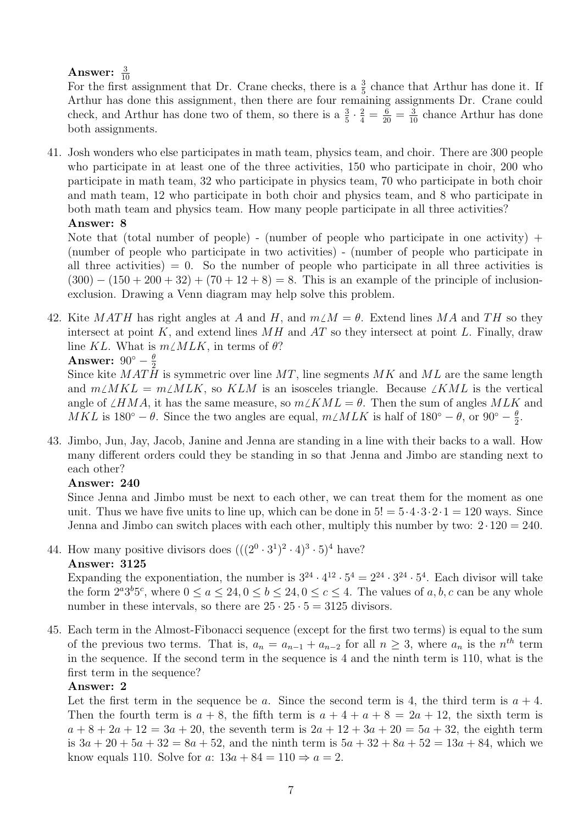## Answer:  $\frac{3}{10}$

For the first assignment that Dr. Crane checks, there is a  $\frac{3}{5}$  chance that Arthur has done it. If Arthur has done this assignment, then there are four remaining assignments Dr. Crane could check, and Arthur has done two of them, so there is a  $\frac{3}{5} \cdot \frac{2}{4} = \frac{6}{20} = \frac{3}{10}$  chance Arthur has done both assignments.

41. Josh wonders who else participates in math team, physics team, and choir. There are 300 people who participate in at least one of the three activities, 150 who participate in choir, 200 who participate in math team, 32 who participate in physics team, 70 who participate in both choir and math team, 12 who participate in both choir and physics team, and 8 who participate in both math team and physics team. How many people participate in all three activities? Answer: 8

Note that (total number of people) - (number of people who participate in one activity) + (number of people who participate in two activities) - (number of people who participate in all three activities)  $= 0$ . So the number of people who participate in all three activities is  $(300) - (150 + 200 + 32) + (70 + 12 + 8) = 8$ . This is an example of the principle of inclusionexclusion. Drawing a Venn diagram may help solve this problem.

42. Kite MATH has right angles at A and H, and  $m\angle M = \theta$ . Extend lines MA and TH so they intersect at point K, and extend lines  $MH$  and  $AT$  so they intersect at point L. Finally, draw line KL. What is  $m\angle MLK$ , in terms of  $\theta$ ? Answer:  $90^{\circ} - \frac{\theta}{2}$ 2

Since kite  $MATH$  is symmetric over line  $MT$ , line segments  $MK$  and  $ML$  are the same length and  $m\angle MKL = m\angle MLK$ , so KLM is an isosceles triangle. Because  $\angle KML$  is the vertical angle of  $\angle HMA$ , it has the same measure, so  $m\angle KML = \theta$ . Then the sum of angles MLK and MKL is 180<sup>°</sup> –  $\theta$ . Since the two angles are equal,  $m\angle MLK$  is half of 180<sup>°</sup> –  $\theta$ , or 90<sup>°</sup> –  $\frac{\theta}{2}$  $\frac{\theta}{2}$ .

43. Jimbo, Jun, Jay, Jacob, Janine and Jenna are standing in a line with their backs to a wall. How many different orders could they be standing in so that Jenna and Jimbo are standing next to each other?

#### Answer: 240

Since Jenna and Jimbo must be next to each other, we can treat them for the moment as one unit. Thus we have five units to line up, which can be done in  $5! = 5 \cdot 4 \cdot 3 \cdot 2 \cdot 1 = 120$  ways. Since Jenna and Jimbo can switch places with each other, multiply this number by two:  $2 \cdot 120 = 240$ .

44. How many positive divisors does  $(((2^0 \cdot 3^1)^2 \cdot 4)^3 \cdot 5)^4$  have?

#### Answer: 3125

Expanding the exponentiation, the number is  $3^{24} \cdot 4^{12} \cdot 5^4 = 2^{24} \cdot 3^{24} \cdot 5^4$ . Each divisor will take the form  $2^a 3^b 5^c$ , where  $0 \le a \le 24$ ,  $0 \le b \le 24$ ,  $0 \le c \le 4$ . The values of a, b, c can be any whole number in these intervals, so there are  $25 \cdot 25 \cdot 5 = 3125$  divisors.

45. Each term in the Almost-Fibonacci sequence (except for the first two terms) is equal to the sum of the previous two terms. That is,  $a_n = a_{n-1} + a_{n-2}$  for all  $n \geq 3$ , where  $a_n$  is the  $n^{th}$  term in the sequence. If the second term in the sequence is 4 and the ninth term is 110, what is the first term in the sequence?

#### Answer: 2

Let the first term in the sequence be a. Since the second term is 4, the third term is  $a + 4$ . Then the fourth term is  $a + 8$ , the fifth term is  $a + 4 + a + 8 = 2a + 12$ , the sixth term is  $a + 8 + 2a + 12 = 3a + 20$ , the seventh term is  $2a + 12 + 3a + 20 = 5a + 32$ , the eighth term is  $3a + 20 + 5a + 32 = 8a + 52$ , and the ninth term is  $5a + 32 + 8a + 52 = 13a + 84$ , which we know equals 110. Solve for a:  $13a + 84 = 110 \Rightarrow a = 2$ .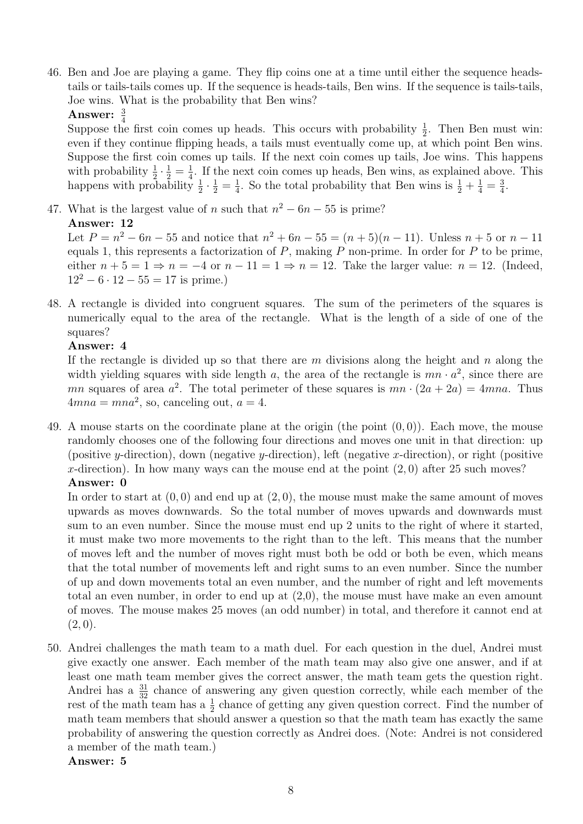46. Ben and Joe are playing a game. They flip coins one at a time until either the sequence headstails or tails-tails comes up. If the sequence is heads-tails, Ben wins. If the sequence is tails-tails, Joe wins. What is the probability that Ben wins?

Answer:  $\frac{3}{4}$ 

Suppose the first coin comes up heads. This occurs with probability  $\frac{1}{2}$ . Then Ben must win: even if they continue flipping heads, a tails must eventually come up, at which point Ben wins. Suppose the first coin comes up tails. If the next coin comes up tails, Joe wins. This happens with probability  $\frac{1}{2} \cdot \frac{1}{2} = \frac{1}{4}$  $\frac{1}{4}$ . If the next coin comes up heads, Ben wins, as explained above. This happens with probability  $\frac{1}{2} \cdot \frac{1}{2} = \frac{1}{4}$  $\frac{1}{4}$ . So the total probability that Ben wins is  $\frac{1}{2} + \frac{1}{4} = \frac{3}{4}$  $\frac{3}{4}$ .

47. What is the largest value of n such that  $n^2 - 6n - 55$  is prime?

Answer: 12

Let  $P = n^2 - 6n - 55$  and notice that  $n^2 + 6n - 55 = (n + 5)(n - 11)$ . Unless  $n + 5$  or  $n - 11$ equals 1, this represents a factorization of  $P$ , making  $P$  non-prime. In order for  $P$  to be prime, either  $n + 5 = 1 \Rightarrow n = -4$  or  $n - 11 = 1 \Rightarrow n = 12$ . Take the larger value:  $n = 12$ . (Indeed,  $12^2 - 6 \cdot 12 - 55 = 17$  is prime.)

48. A rectangle is divided into congruent squares. The sum of the perimeters of the squares is numerically equal to the area of the rectangle. What is the length of a side of one of the squares?

#### Answer: 4

If the rectangle is divided up so that there are  $m$  divisions along the height and  $n$  along the width yielding squares with side length a, the area of the rectangle is  $mn \cdot a^2$ , since there are mn squares of area  $a^2$ . The total perimeter of these squares is  $mn \cdot (2a + 2a) = 4mn a$ . Thus  $4mna = mna^2$ , so, canceling out,  $a = 4$ .

49. A mouse starts on the coordinate plane at the origin (the point  $(0, 0)$ ). Each move, the mouse randomly chooses one of the following four directions and moves one unit in that direction: up (positive y-direction), down (negative y-direction), left (negative x-direction), or right (positive x-direction). In how many ways can the mouse end at the point  $(2,0)$  after 25 such moves? Answer: 0

In order to start at  $(0,0)$  and end up at  $(2,0)$ , the mouse must make the same amount of moves upwards as moves downwards. So the total number of moves upwards and downwards must sum to an even number. Since the mouse must end up 2 units to the right of where it started, it must make two more movements to the right than to the left. This means that the number of moves left and the number of moves right must both be odd or both be even, which means that the total number of movements left and right sums to an even number. Since the number of up and down movements total an even number, and the number of right and left movements total an even number, in order to end up at (2,0), the mouse must have make an even amount of moves. The mouse makes 25 moves (an odd number) in total, and therefore it cannot end at  $(2, 0).$ 

50. Andrei challenges the math team to a math duel. For each question in the duel, Andrei must give exactly one answer. Each member of the math team may also give one answer, and if at least one math team member gives the correct answer, the math team gets the question right. Andrei has a  $\frac{31}{32}$  chance of answering any given question correctly, while each member of the rest of the math team has a  $\frac{1}{2}$  chance of getting any given question correct. Find the number of math team members that should answer a question so that the math team has exactly the same probability of answering the question correctly as Andrei does. (Note: Andrei is not considered a member of the math team.)

#### Answer: 5